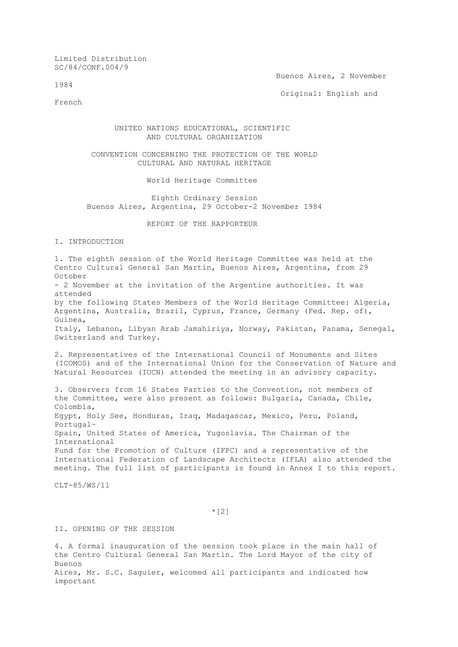Limited Distribution SC/84/CONF.004/9

1984

Buenos Aires, 2 November

Original: English and

French

## UNITED NATIONS EDUCATIONAL, SCIENTIFIC AND CULTURAL ORGANIZATION

## CONVENTION CONCERNING THE PROTECTION OF THE WORLD CULTURAL AND NATURAL HERITAGE

World Heritage Committee

 Eighth Ordinary Session Buenos Aires, Argentina, 29 October-2 November 1984

REPORT OF THE RAPPORTEUR

I. INTRODUCTION

1. The eighth session of the World Heritage Committee was held at the Centro Cultural General San Martin, Buenos Aires, Argentina, from 29 October - 2 November at the invitation of the Argentine authorities. It was attended by the following States Members of the World Heritage Committee: Algeria, Argentina, Australia, Brazil, Cyprus, France, Germany (Fed. Rep. of), Guinea, Italy, Lebanon, Libyan Arab Jamahiriya, Norway, Pakistan, Panama, Senegal, Switzerland and Turkey. 2. Representatives of the International Council of Monuments and Sites (ICOMOS) and of the International Union for the Conservation of Nature and Natural Resources (IUCN) attended the meeting in an advisory capacity. 3. Observers from 16 States Parties to the Convention, not members of the Committee, were also present as follows: Bulgaria, Canada, Chile, Colombia, Egypt, Holy See, Honduras, Iraq, Madagascar, Mexico, Peru, Poland, Portugal~ Spain, United States of America, Yugoslavia. The Chairman of the International Fund for the Promotion of Culture (IFPC) and a representative of the International Federation of Landscape Architects (IFLA) also attended the

meeting. The full list of participants is found in Annex I to this report.

 $CI.T - 85/WS/11$ 

 $*(2)$ 

# II. OPENING OF THE SESSION

4. A formal inauguration of the session took place in the main hall of the Centro Cultural General San Martin. The Lord Mayor of the city of Buenos Aires, Mr. S.C. Saguier, welcomed all participants and indicated how important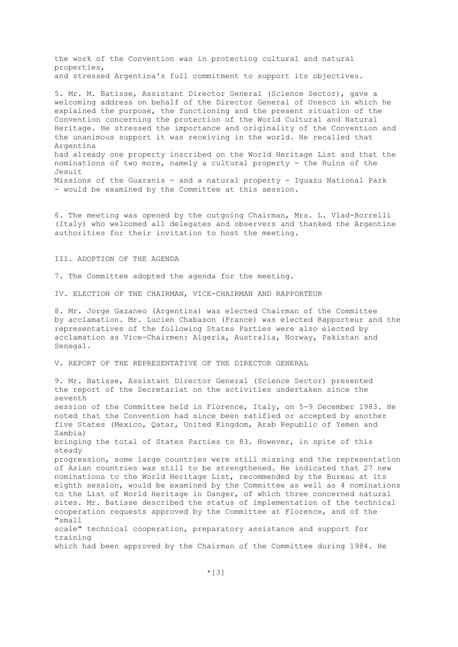the work of the Convention was in protecting cultural and natural properties, and stressed Argentina's full commitment to support its objectives.

5. Mr. M. Batisse, Assistant Director General (Science Sector), gave a welcoming address on behalf of the Director General of Unesco in which he explained the purpose, the functioning and the present situation of the Convention concerning the protection of the World Cultural and Natural Heritage. He stressed the importance and originality of the Convention and the unanimous support it was receiving in the world. He recalled that Argentina had already one property inscribed on the World Heritage List and that the nominations of two more, namely a cultural property - the Ruins of the Jesuit Missions of the Guaranis - and a natural property - Iguazu National Park - would be examined by the Committee at this session.

6. The meeting was opened by the outgoing Chairman, Mrs. L. Vlad-Borrelli (Italy) who welcomed all delegates and observers and thanked the Argentine authorities for their invitation to host the meeting.

III. ADOPTION OF THE AGENDA

7. The Committee adopted the agenda for the meeting.

IV. ELECTION OF THE CHAIRMAN, VICE-CHAIRMAN AND RAPPORTEUR

8. Mr. Jorge Gazaneo (Argentina) was elected Chairman of the Committee by acclamation. Mr. Lucien Chabason (France) was elected Rapporteur and the representatives of the following States Parties were also elected by acclamation as Vice-Chairmen: Algeria, Australia, Norway, Pakistan and Senegal.

V. REPORT OF THE REPRESENTATIVE OF THE DIRECTOR GENERAL

9. Mr. Batisse, Assistant Director General (Science Sector) presented the report of the Secretariat on the activities undertaken since the seventh session of the Committee held in Florence, Italy, on 5-9 December 1983. He noted that the Convention had since been ratified or accepted by another five States (Mexico, Qatar, United Kingdom, Arab Republic of Yemen and Zambia) bringing the total of States Parties to 83. However, in spite of this steady progression, some large countries were still missing and the representation of Asian countries was still to be strengthened. He indicated that 27 new nominations to the World Heritage List, recommended by the Bureau at its eighth session, would be examined by the Committee as well as 4 nominations to the List of World Heritage in Danger, of which three concerned natural sites. Mr. Batisse described the status of implementation of the technical cooperation requests approved by the Committee at Florence, and of the "small scale" technical cooperation, preparatory assistance and support for training which had been approved by the Chairman of the Committee during 1984. He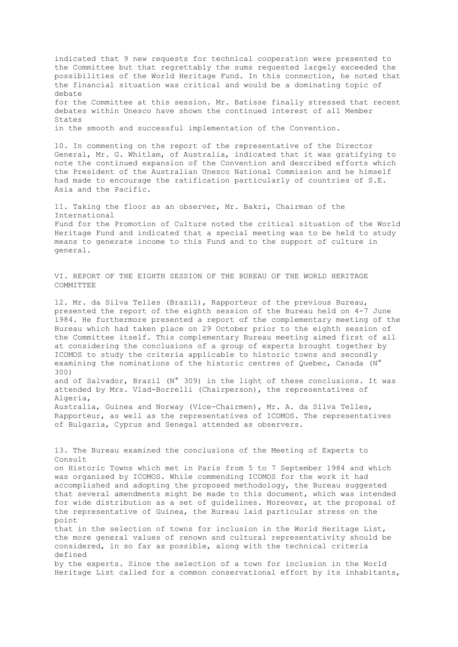indicated that 9 new requests for technical cooperation were presented to the Committee but that regrettably the sums requested largely exceeded the possibilities of the World Heritage Fund. In this connection, he noted that the financial situation was critical and would be a dominating topic of debate for the Committee at this session. Mr. Batisse finally stressed that recent debates within Unesco have shown the continued interest of all Member States in the smooth and successful implementation of the Convention.

10. In commenting on the report of the representative of the Director General, Mr. G. Whitlam, of Australia, indicated that it was gratifying to note the continued expansion of the Convention and described efforts which the President of the Australian Unesco National Commission and he himself had made to encourage the ratification particularly of countries of S.E. Asia and the Pacific.

11. Taking the floor as an observer, Mr. Bakri, Chairman of the International Fund for the Promotion of Culture noted the critical situation of the World Heritage Fund and indicated that a special meeting was to be held to study means to generate income to this Fund and to the support of culture in general.

VI. REPORT OF THE EIGHTH SESSION OF THE BUREAU OF THE WORLD HERITAGE COMMITTEE

12. Mr. da Silva Telles (Brazil), Rapporteur of the previous Bureau, presented the report of the eighth session of the Bureau held on 4-7 June 1984. He furthermore presented a report of the complementary meeting of the Bureau which had taken place on 29 October prior to the eighth session of the Committee itself. This complementary Bureau meeting aimed first of all at considering the conclusions of a group of experts brought together by ICOMOS to study the criteria applicable to historic towns and secondly examining the nominations of the historic centres of Quebec, Canada (N° 300) and of Salvador, Brazil (N° 309) in the light of these conclusions. It was attended by Mrs. Vlad-Borrelli (Chairperson), the representatives of Algeria, Australia, Guinea and Norway (Vice-Chairmen), Mr. A. da Silva Telles, Rapporteur, as well as the representatives of ICOMOS. The representatives

of Bulgaria, Cyprus and Senegal attended as observers.

13. The Bureau examined the conclusions of the Meeting of Experts to Consult on Historic Towns which met in Paris from 5 to 7 September 1984 and which was organised by ICOMOS. While commending ICOMOS for the work it had accomplished and adopting the proposed methodology, the Bureau suggested that several amendments might be made to this document, which was intended for wide distribution as a set of guidelines. Moreover, at the proposal of the representative of Guinea, the Bureau laid particular stress on the point that in the selection of towns for inclusion in the World Heritage List, the more general values of renown and cultural representativity should be considered, in so far as possible, along with the technical criteria defined by the experts. Since the selection of a town for inclusion in the World Heritage List called for a common conservational effort by its inhabitants,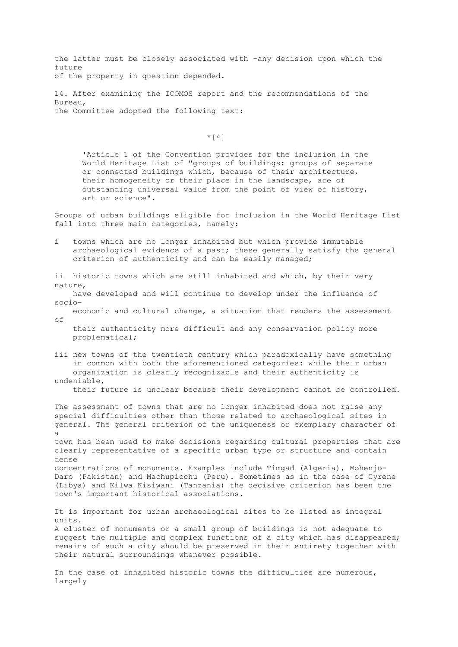the latter must be closely associated with -any decision upon which the future of the property in question depended.

14. After examining the ICOMOS report and the recommendations of the Bureau, the Committee adopted the following text:

 $*$ [4]

 'Article 1 of the Convention provides for the inclusion in the World Heritage List of "groups of buildings: groups of separate or connected buildings which, because of their architecture, their homogeneity or their place in the landscape, are of outstanding universal value from the point of view of history, art or science".

Groups of urban buildings eligible for inclusion in the World Heritage List fall into three main categories, namely:

- i towns which are no longer inhabited but which provide immutable archaeological evidence of a past; these generally satisfy the general criterion of authenticity and can be easily managed;
- ii historic towns which are still inhabited and which, by their very nature,
- have developed and will continue to develop under the influence of socio-
- economic and cultural change, a situation that renders the assessment of
	- their authenticity more difficult and any conservation policy more problematical;
- iii new towns of the twentieth century which paradoxically have something in common with both the aforementioned categories: while their urban organization is clearly recognizable and their authenticity is undeniable,

their future is unclear because their development cannot be controlled.

The assessment of towns that are no longer inhabited does not raise any special difficulties other than those related to archaeological sites in general. The general criterion of the uniqueness or exemplary character of a

town has been used to make decisions regarding cultural properties that are clearly representative of a specific urban type or structure and contain dense

concentrations of monuments. Examples include Timgad (Algeria), Mohenjo-Daro (Pakistan) and Machupicchu (Peru). Sometimes as in the case of Cyrene (Libya) and Kilwa Kisiwani (Tanzania) the decisive criterion has been the town's important historical associations.

It is important for urban archaeological sites to be listed as integral units. A cluster of monuments or a small group of buildings is not adequate to suggest the multiple and complex functions of a city which has disappeared; remains of such a city should be preserved in their entirety together with their natural surroundings whenever possible.

In the case of inhabited historic towns the difficulties are numerous, largely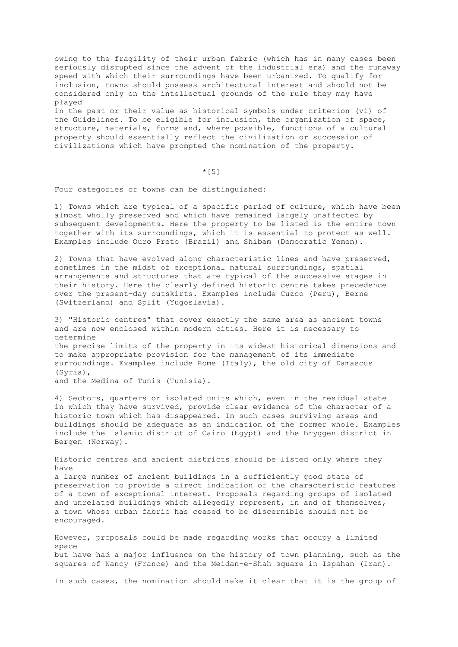owing to the fragility of their urban fabric (which has in many cases been seriously disrupted since the advent of the industrial era) and the runaway speed with which their surroundings have been urbanized. To qualify for inclusion, towns should possess architectural interest and should not be considered only on the intellectual grounds of the rule they may have played

in the past or their value as historical symbols under criterion (vi) of the Guidelines. To be eligible for inclusion, the organization of space, structure, materials, forms and, where possible, functions of a cultural property should essentially reflect the civilization or succession of civilizations which have prompted the nomination of the property.

# $*$ [5]

Four categories of towns can be distinguished:

1) Towns which are typical of a specific period of culture, which have been almost wholly preserved and which have remained largely unaffected by subsequent developments. Here the property to be listed is the entire town together with its surroundings, which it is essential to protect as well. Examples include Ouro Preto (Brazil) and Shibam (Democratic Yemen).

2) Towns that have evolved along characteristic lines and have preserved, sometimes in the midst of exceptional natural surroundings, spatial arrangements and structures that are typical of the successive stages in their history. Here the clearly defined historic centre takes precedence over the present-day outskirts. Examples include Cuzco (Peru), Berne (Switzerland) and Split (Yugoslavia).

3) "Historic centres" that cover exactly the same area as ancient towns and are now enclosed within modern cities. Here it is necessary to determine the precise limits of the property in its widest historical dimensions and to make appropriate provision for the management of its immediate surroundings. Examples include Rome (Italy), the old city of Damascus (Syria), and the Medina of Tunis (Tunisia).

4) Sectors, quarters or isolated units which, even in the residual state in which they have survived, provide clear evidence of the character of a historic town which has disappeared. In such cases surviving areas and buildings should be adequate as an indication of the former whole. Examples include the Islamic district of Cairo (Egypt) and the Bryggen district in Bergen (Norway).

Historic centres and ancient districts should be listed only where they have a large number of ancient buildings in a sufficiently good state of preservation to provide a direct indication of the characteristic features of a town of exceptional interest. Proposals regarding groups of isolated and unrelated buildings which allegedly represent, in and of themselves, a town whose urban fabric has ceased to be discernible should not be encouraged.

However, proposals could be made regarding works that occupy a limited space but have had a major influence on the history of town planning, such as the squares of Nancy (France) and the Meidan-e-Shah square in Ispahan (Iran).

In such cases, the nomination should make it clear that it is the group of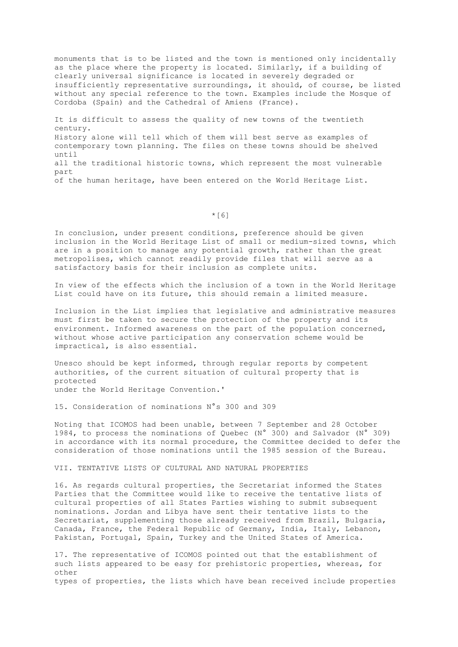monuments that is to be listed and the town is mentioned only incidentally as the place where the property is located. Similarly, if a building of clearly universal significance is located in severely degraded or insufficiently representative surroundings, it should, of course, be listed without any special reference to the town. Examples include the Mosque of Cordoba (Spain) and the Cathedral of Amiens (France).

It is difficult to assess the quality of new towns of the twentieth century. History alone will tell which of them will best serve as examples of contemporary town planning. The files on these towns should be shelved until all the traditional historic towns, which represent the most vulnerable part of the human heritage, have been entered on the World Heritage List.

 $*$ [6]

In conclusion, under present conditions, preference should be given inclusion in the World Heritage List of small or medium-sized towns, which are in a position to manage any potential growth, rather than the great metropolises, which cannot readily provide files that will serve as a satisfactory basis for their inclusion as complete units.

In view of the effects which the inclusion of a town in the World Heritage List could have on its future, this should remain a limited measure.

Inclusion in the List implies that legislative and administrative measures must first be taken to secure the protection of the property and its environment. Informed awareness on the part of the population concerned, without whose active participation any conservation scheme would be impractical, is also essential.

Unesco should be kept informed, through regular reports by competent authorities, of the current situation of cultural property that is protected under the World Heritage Convention.'

15. Consideration of nominations N°s 300 and 309

Noting that ICOMOS had been unable, between 7 September and 28 October 1984, to process the nominations of Quebec (N° 300) and Salvador (N° 309) in accordance with its normal procedure, the Committee decided to defer the consideration of those nominations until the 1985 session of the Bureau.

VII. TENTATIVE LISTS OF CULTURAL AND NATURAL PROPERTIES

16. As regards cultural properties, the Secretariat informed the States Parties that the Committee would like to receive the tentative lists of cultural properties of all States Parties wishing to submit subsequent nominations. Jordan and Libya have sent their tentative lists to the Secretariat, supplementing those already received from Brazil, Bulgaria, Canada, France, the Federal Republic of Germany, India, Italy, Lebanon, Pakistan, Portugal, Spain, Turkey and the United States of America.

17. The representative of ICOMOS pointed out that the establishment of such lists appeared to be easy for prehistoric properties, whereas, for other types of properties, the lists which have bean received include properties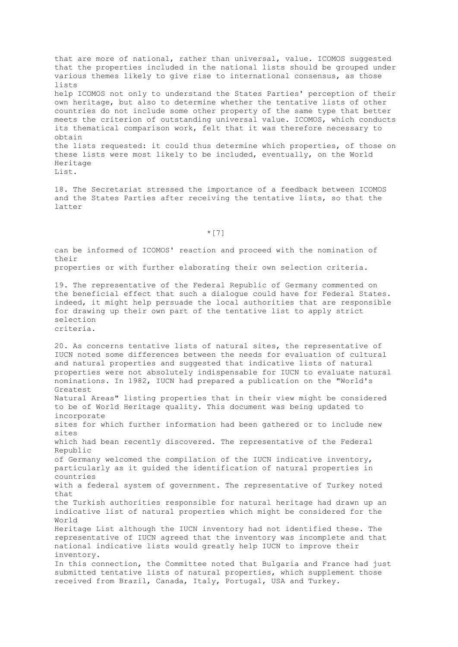that are more of national, rather than universal, value. ICOMOS suggested that the properties included in the national lists should be grouped under various themes likely to give rise to international consensus, as those lists help ICOMOS not only to understand the States Parties' perception of their own heritage, but also to determine whether the tentative lists of other countries do not include some other property of the same type that better meets the criterion of outstanding universal value. ICOMOS, which conducts its thematical comparison work, felt that it was therefore necessary to obtain the lists requested: it could thus determine which properties, of those on these lists were most likely to be included, eventually, on the World Heritage List.

18. The Secretariat stressed the importance of a feedback between ICOMOS and the States Parties after receiving the tentative lists, so that the latter

 $\star$  [7]

can be informed of ICOMOS' reaction and proceed with the nomination of their

properties or with further elaborating their own selection criteria.

19. The representative of the Federal Republic of Germany commented on the beneficial effect that such a dialogue could have for Federal States. indeed, it might help persuade the local authorities that are responsible for drawing up their own part of the tentative list to apply strict selection criteria.

20. As concerns tentative lists of natural sites, the representative of IUCN noted some differences between the needs for evaluation of cultural and natural properties and suggested that indicative lists of natural properties were not absolutely indispensable for IUCN to evaluate natural nominations. In 1982, IUCN had prepared a publication on the "World's Greatest Natural Areas" listing properties that in their view might be considered to be of World Heritage quality. This document was being updated to incorporate sites for which further information had been gathered or to include new sites which had bean recently discovered. The representative of the Federal Republic of Germany welcomed the compilation of the IUCN indicative inventory, particularly as it guided the identification of natural properties in countries with a federal system of government. The representative of Turkey noted  $that$ the Turkish authorities responsible for natural heritage had drawn up an indicative list of natural properties which might be considered for the World Heritage List although the IUCN inventory had not identified these. The representative of IUCN agreed that the inventory was incomplete and that national indicative lists would greatly help IUCN to improve their inventory. In this connection, the Committee noted that Bulgaria and France had just submitted tentative lists of natural properties, which supplement those received from Brazil, Canada, Italy, Portugal, USA and Turkey.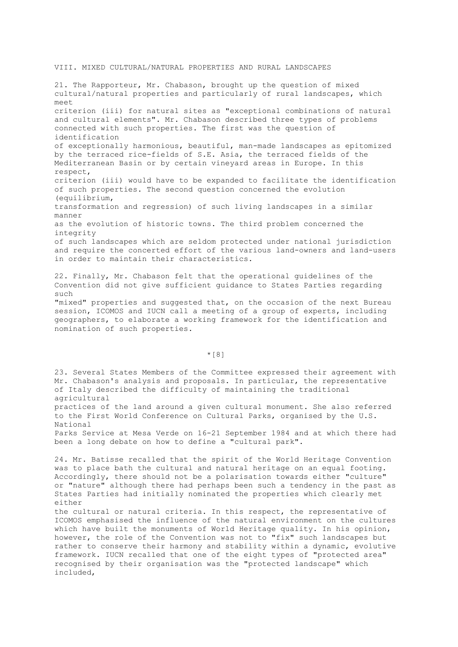### VIII. MIXED CULTURAL/NATURAL PROPERTIES AND RURAL LANDSCAPES

21. The Rapporteur, Mr. Chabason, brought up the question of mixed cultural/natural properties and particularly of rural landscapes, which meet criterion (iii) for natural sites as "exceptional combinations of natural and cultural elements". Mr. Chabason described three types of problems connected with such properties. The first was the question of identification of exceptionally harmonious, beautiful, man-made landscapes as epitomized by the terraced rice-fields of S.E. Asia, the terraced fields of the Mediterranean Basin or by certain vineyard areas in Europe. In this respect, criterion (iii) would have to be expanded to facilitate the identification of such properties. The second question concerned the evolution (equilibrium, transformation and regression) of such living landscapes in a similar manner as the evolution of historic towns. The third problem concerned the integrity of such landscapes which are seldom protected under national jurisdiction and require the concerted effort of the various land-owners and land-users in order to maintain their characteristics.

22. Finally, Mr. Chabason felt that the operational guidelines of the Convention did not give sufficient guidance to States Parties regarding such

"mixed" properties and suggested that, on the occasion of the next Bureau session, ICOMOS and IUCN call a meeting of a group of experts, including geographers, to elaborate a working framework for the identification and nomination of such properties.

\*[8]

23. Several States Members of the Committee expressed their agreement with Mr. Chabason's analysis and proposals. In particular, the representative of Italy described the difficulty of maintaining the traditional agricultural practices of the land around a given cultural monument. She also referred to the First World Conference on Cultural Parks, organised by the U.S. National Parks Service at Mesa Verde on 16-21 September 1984 and at which there had been a long debate on how to define a "cultural park".

24. Mr. Batisse recalled that the spirit of the World Heritage Convention was to place bath the cultural and natural heritage on an equal footing. Accordingly, there should not be a polarisation towards either "culture" or "nature" although there had perhaps been such a tendency in the past as States Parties had initially nominated the properties which clearly met either

the cultural or natural criteria. In this respect, the representative of ICOMOS emphasised the influence of the natural environment on the cultures which have built the monuments of World Heritage quality. In his opinion, however, the role of the Convention was not to "fix" such landscapes but rather to conserve their harmony and stability within a dynamic, evolutive framework. IUCN recalled that one of the eight types of "protected area" recognised by their organisation was the "protected landscape" which included,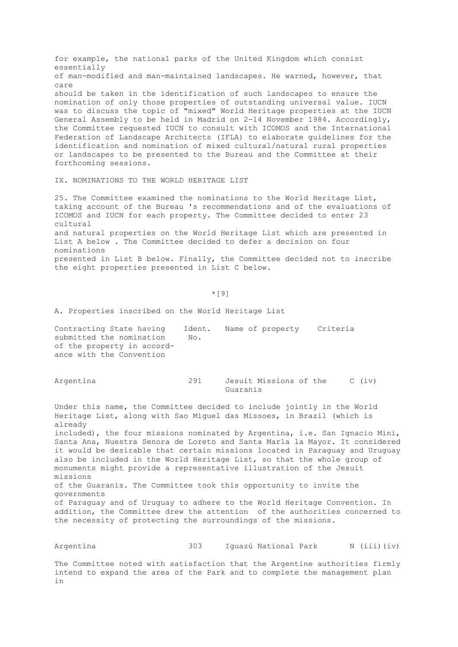for example, the national parks of the United Kingdom which consist essentially of man-modified and man-maintained landscapes. He warned, however, that care should be taken in the identification of such landscapes to ensure the nomination of only those properties of outstanding universal value. IUCN was to discuss the topic of "mixed" World Heritage properties at the IUCN General Assembly to be held in Madrid on 2-14 November 1984. Accordingly, the Committee requested IUCN to consult with ICOMOS and the International Federation of Landscape Architects (IFLA) to elaborate guidelines for the identification and nomination of mixed cultural/natural rural properties or landscapes to be presented to the Bureau and the Committee at their forthcoming sessions.

IX. NOMINATIONS TO THE WORLD HERITAGE LIST

25. The Committee examined the nominations to the World Heritage List, taking account of the Bureau 's recommendations and of the evaluations of ICOMOS and IUCN for each property. The Committee decided to enter 23 cultural and natural properties on the World Heritage List which are presented in List A below . The Committee decided to defer a decision on four nominations presented in List B below. Finally, the Committee decided not to inscribe the eight properties presented in List C below.

 $\star$  [9]

A. Properties inscribed on the World Heritage List

Contracting State having Ident. Name of property Criteria submitted the nomination No. of the property in accordance with the Convention

| Argentina |          | Jesuit Missions of the |  | $C$ (iv) |
|-----------|----------|------------------------|--|----------|
|           | Guaranis |                        |  |          |

Under this name, the Committee decided to include jointly in the World Heritage List, along with Sao Miguel das Missoes, in Brazil (which is already

included), the four missions nominated by Argentina, i.e. San Ignacio Mini, Santa Ana, Nuestra Senora de Loreto and Santa Marla la Mayor. It considered it would be desirable that certain missions located in Paraguay and Uruguay also be included in the World Heritage List, so that the whole group of monuments might provide a representative illustration of the Jesuit missions of the Guaranis. The Committee took this opportunity to invite the governments

of Paraguay and of Uruguay to adhere to the World Heritage Convention. In addition, the Committee drew the attention of the authorities concerned to the necessity of protecting the surroundings of the missions.

Argentina  $303$  Iguazú National Park N (iii)(iv)

The Committee noted with satisfaction that the Argentine authorities firmly intend to expand the area of the Park and to complete the management plan in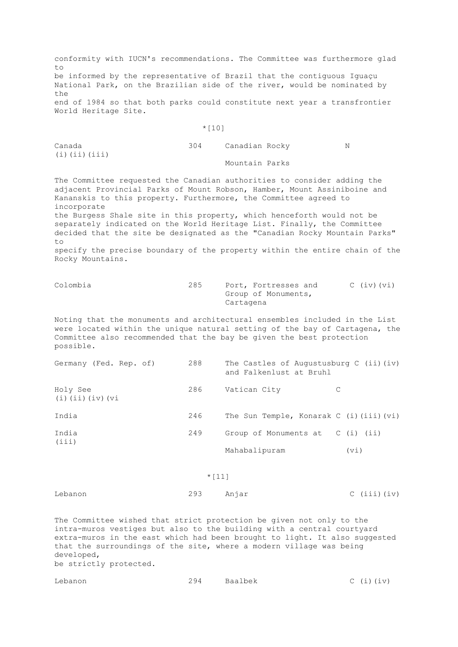conformity with IUCN's recommendations. The Committee was furthermore glad  $t \circ$ be informed by the representative of Brazil that the contiguous Iguaçu National Park, on the Brazilian side of the river, would be nominated by  $th$  $\alpha$ end of 1984 so that both parks could constitute next year a transfrontier World Heritage Site.

#### \*[10]

| Canada       | 304 | Canadian Rocky | N |
|--------------|-----|----------------|---|
| (i)(ii)(iii) |     |                |   |
|              |     | Mountain Parks |   |

The Committee requested the Canadian authorities to consider adding the adjacent Provincial Parks of Mount Robson, Hamber, Mount Assiniboine and Kananskis to this property. Furthermore, the Committee agreed to incorporate

the Burgess Shale site in this property, which henceforth would not be separately indicated on the World Heritage List. Finally, the Committee decided that the site be designated as the "Canadian Rocky Mountain Parks" to

specify the precise boundary of the property within the entire chain of the Rocky Mountains.

| Colombia | 285 |           | Port, Fortresses and | $C$ (iv) (vi) |
|----------|-----|-----------|----------------------|---------------|
|          |     |           | Group of Monuments,  |               |
|          |     | Cartagena |                      |               |

Noting that the monuments and architectural ensembles included in the List were located within the unique natural setting of the bay of Cartagena, the Committee also recommended that the bay be given the best protection possible.

| Germany (Fed. Rep. of)                 | 288 | The Castles of Augustusburg C $(ii)$ $(iv)$<br>and Falkenlust at Bruhl |      |
|----------------------------------------|-----|------------------------------------------------------------------------|------|
| Holy See<br>$(i)$ $(ii)$ $(iv)$ $(vi)$ | 286 | Vatican City                                                           |      |
| India                                  | 246 | The Sun Temple, Konarak C $(i)$ $(iii)$ $(vi)$                         |      |
| India<br>(iii)                         | 249 | Group of Monuments at $C(i)$ (ii)                                      |      |
|                                        |     | Mahabalipuram                                                          | (vi) |
|                                        |     |                                                                        |      |

## $*$ [11]

Lebanon 293 Anjar C (iii)(iv)

The Committee wished that strict protection be given not only to the intra-muros vestiges but also to the building with a central courtyard extra-muros in the east which had been brought to light. It also suggested that the surroundings of the site, where a modern village was being developed, be strictly protected.

| Lebanon | 294 | Baalbek |  | $C$ (i)(iv) |  |
|---------|-----|---------|--|-------------|--|
|         |     |         |  |             |  |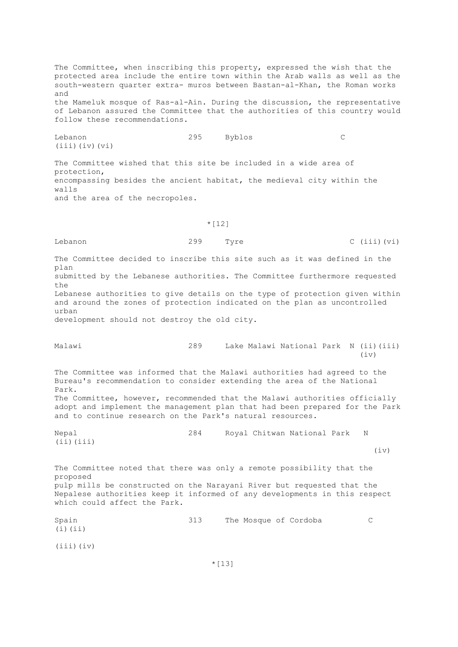The Committee, when inscribing this property, expressed the wish that the protected area include the entire town within the Arab walls as well as the south-western quarter extra- muros between Bastan-al-Khan, the Roman works and the Mameluk mosque of Ras-al-Ain. During the discussion, the representative of Lebanon assured the Committee that the authorities of this country would follow these recommendations.

Lebanon 295 Byblos C (iii)(iv)(vi) The Committee wished that this site be included in a wide area of protection,

encompassing besides the ancient habitat, the medieval city within the walls and the area of the necropoles.

#### $*$ [12]

Lebanon 299 Tyre C (iii)(vi)

The Committee decided to inscribe this site such as it was defined in the plan submitted by the Lebanese authorities. The Committee furthermore requested the Lebanese authorities to give details on the type of protection given within and around the zones of protection indicated on the plan as uncontrolled urban

development should not destroy the old city.

| Malawi |  | Lake Malawi National Park N (ii) (iii) |  |      |
|--------|--|----------------------------------------|--|------|
|        |  |                                        |  | (iv) |

The Committee was informed that the Malawi authorities had agreed to the Bureau's recommendation to consider extending the area of the National Park. The Committee, however, recommended that the Malawi authorities officially adopt and implement the management plan that had been prepared for the Park and to continue research on the Park's natural resources.

Nepal 284 Royal Chitwan National Park N  $(iii)(iii)$  $(iv)$ 

The Committee noted that there was only a remote possibility that the proposed pulp mills be constructed on the Narayani River but requested that the Nepalese authorities keep it informed of any developments in this respect which could affect the Park.

Spain 313 The Mosque of Cordoba C  $(i)$  $(i)$ (iii)(iv)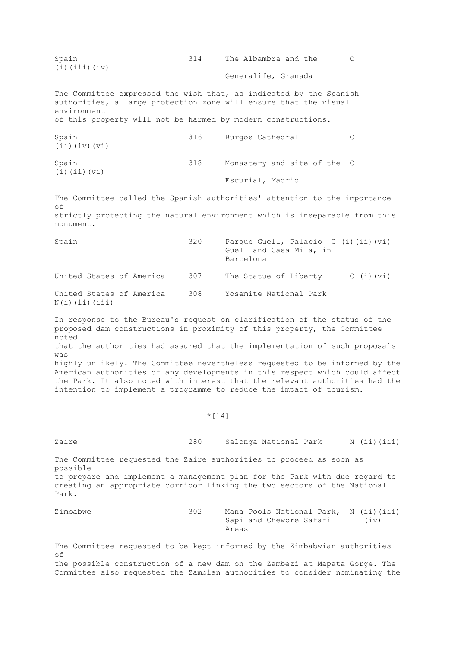Spain 314 The Albambra and the C (i)(iii)(iv) Generalife, Granada The Committee expressed the wish that, as indicated by the Spanish authorities, a large protection zone will ensure that the visual environment of this property will not be harmed by modern constructions. Spain 316 Burgos Cathedral C (ii)(iv)(vi) Spain 318 Monastery and site of the C (i)(ii)(vi) Escurial, Madrid The Committee called the Spanish authorities' attention to the importance of strictly protecting the natural environment which is inseparable from this monument. Spain 320 Parque Guell, Palacio C (i)(ii)(vi) Guell and Casa Mila, in Barcelona United States of America 307 The Statue of Liberty C (i)(vi) United States of America 308 Yosemite National Park  $N(i)$  (ii) (iii) In response to the Bureau's request on clarification of the status of the proposed dam constructions in proximity of this property, the Committee noted that the authorities had assured that the implementation of such proposals was highly unlikely. The Committee nevertheless requested to be informed by the American authorities of any developments in this respect which could affect the Park. It also noted with interest that the relevant authorities had the intention to implement a programme to reduce the impact of tourism.  $*$ [14] Zaire 280 Salonga National Park N (ii)(iii) The Committee requested the Zaire authorities to proceed as soon as possible to prepare and implement a management plan for the Park with due regard to creating an appropriate corridor linking the two sectors of the National Park. Zimbabwe 302 Mana Pools National Park, N (ii)(iii) Sapi and Chewore Safari (iv) Areas The Committee requested to be kept informed by the Zimbabwian authorities of the possible construction of a new dam on the Zambezi at Mapata Gorge. The Committee also requested the Zambian authorities to consider nominating the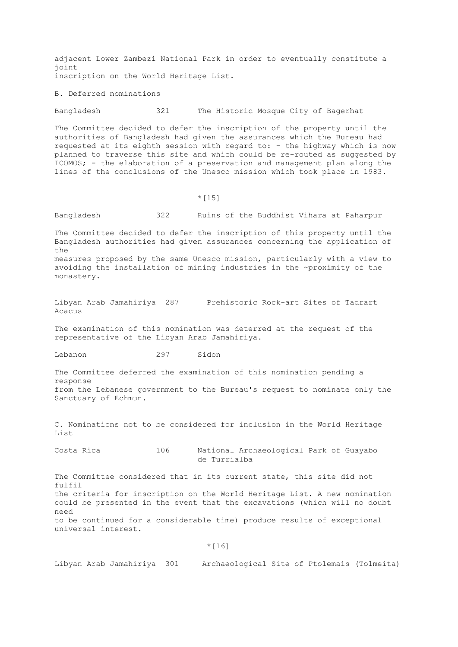adjacent Lower Zambezi National Park in order to eventually constitute a joint inscription on the World Heritage List.

B. Deferred nominations

Bangladesh 321 The Historic Mosque City of Bagerhat

The Committee decided to defer the inscription of the property until the authorities of Bangladesh had given the assurances which the Bureau had requested at its eighth session with regard to: - the highway which is now planned to traverse this site and which could be re-routed as suggested by ICOMOS; - the elaboration of a preservation and management plan along the lines of the conclusions of the Unesco mission which took place in 1983.

\*[15]

Bangladesh 322 Ruins of the Buddhist Vihara at Paharpur

The Committee decided to defer the inscription of this property until the Bangladesh authorities had given assurances concerning the application of  $th$  $\alpha$ measures proposed by the same Unesco mission, particularly with a view to avoiding the installation of mining industries in the ~proximity of the monastery.

Libyan Arab Jamahiriya 287 Prehistoric Rock-art Sites of Tadrart Acacus

The examination of this nomination was deterred at the request of the representative of the Libyan Arab Jamahiriya.

Lebanon 297 Sidon

The Committee deferred the examination of this nomination pending a response from the Lebanese government to the Bureau's request to nominate only the Sanctuary of Echmun.

C. Nominations not to be considered for inclusion in the World Heritage List

Costa Rica 106 National Archaeological Park of Guayabo de Turrialba

The Committee considered that in its current state, this site did not fulfil the criteria for inscription on the World Heritage List. A new nomination could be presented in the event that the excavations (which will no doubt need to be continued for a considerable time) produce results of exceptional universal interest.

 $*$ [16]

Libyan Arab Jamahiriya 301 Archaeological Site of Ptolemais (Tolmeita)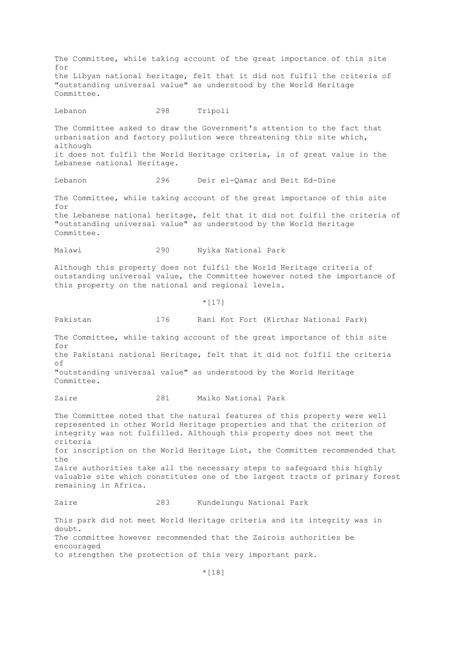The Committee, while taking account of the great importance of this site for the Libyan national heritage, felt that it did not fulfil the criteria of "outstanding universal value" as understood by the World Heritage Committee. Lebanon 298 Tripoli The Committee asked to draw the Government's attention to the fact that urbanisation and factory pollution were threatening this site which, although it does not fulfil the World Heritage criteria, is of great value in the Lebanese national Heritage. Lebanon 296 Deir el-Qamar and Beit Ed-Dine The Committee, while taking account of the great importance of this site for the Lebanese national heritage, felt that it did not fulfil the criteria of "outstanding universal value" as understood by the World Heritage Committee. Malawi 290 Nyika National Park Although this property does not fulfil the World Heritage criteria of outstanding universal value, the Committee however noted the importance of this property on the national and regional levels.  $*$ [17] Pakistan 176 Rani Kot Fort (Kirthar National Park) The Committee, while taking account of the great importance of this site for the Pakistani national Heritage, felt that it did not fulfil the criteria of "outstanding universal value" as understood by the World Heritage Committee. Zaire 281 Maiko National Park The Committee noted that the natural features of this property were well represented in other World Heritage properties and that the criterion of integrity was not fulfilled. Although this property does not meet the criteria for inscription on the World Heritage List, the Committee recommended that the Zaire authorities take all the necessary steps to safeguard this highly valuable site which constitutes one of the largest tracts of primary forest remaining in Africa. Zaire 283 Kundelungu National Park This park did not meet World Heritage criteria and its integrity was in doubt. The committee however recommended that the Zairois authorities be encouraged to strengthen the protection of this very important park.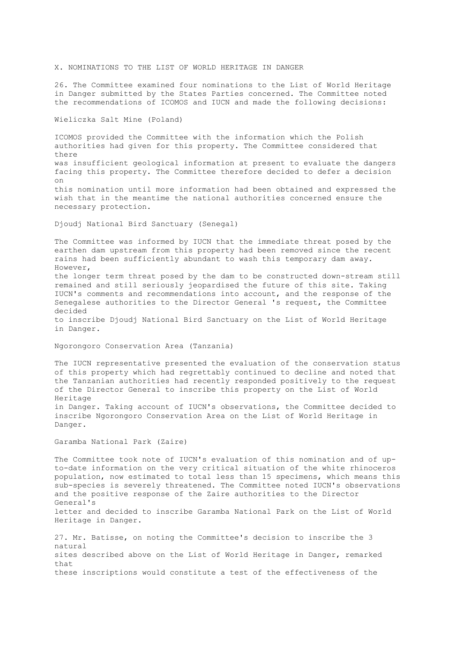X. NOMINATIONS TO THE LIST OF WORLD HERITAGE IN DANGER

26. The Committee examined four nominations to the List of World Heritage in Danger submitted by the States Parties concerned. The Committee noted the recommendations of ICOMOS and IUCN and made the following decisions:

Wieliczka Salt Mine (Poland)

ICOMOS provided the Committee with the information which the Polish authorities had given for this property. The Committee considered that there was insufficient geological information at present to evaluate the dangers facing this property. The Committee therefore decided to defer a decision on this nomination until more information had been obtained and expressed the wish that in the meantime the national authorities concerned ensure the necessary protection.

Djoudj National Bird Sanctuary (Senegal)

The Committee was informed by IUCN that the immediate threat posed by the earthen dam upstream from this property had been removed since the recent rains had been sufficiently abundant to wash this temporary dam away. However, the longer term threat posed by the dam to be constructed down-stream still remained and still seriously jeopardised the future of this site. Taking IUCN's comments and recommendations into account, and the response of the Senegalese authorities to the Director General 's request, the Committee decided to inscribe Djoudj National Bird Sanctuary on the List of World Heritage in Danger. Ngorongoro Conservation Area (Tanzania) The IUCN representative presented the evaluation of the conservation status

of this property which had regrettably continued to decline and noted that the Tanzanian authorities had recently responded positively to the request of the Director General to inscribe this property on the List of World Heritage in Danger. Taking account of IUCN's observations, the Committee decided to inscribe Ngorongoro Conservation Area on the List of World Heritage in

Garamba National Park (Zaire)

Danger.

The Committee took note of IUCN's evaluation of this nomination and of upto-date information on the very critical situation of the white rhinoceros population, now estimated to total less than 15 specimens, which means this sub-species is severely threatened. The Committee noted IUCN's observations and the positive response of the Zaire authorities to the Director General's letter and decided to inscribe Garamba National Park on the List of World Heritage in Danger.

27. Mr. Batisse, on noting the Committee's decision to inscribe the 3 natural sites described above on the List of World Heritage in Danger, remarked  $that$ these inscriptions would constitute a test of the effectiveness of the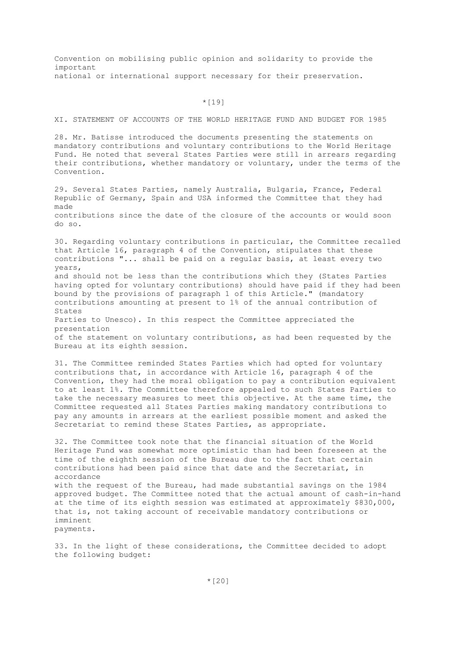Convention on mobilising public opinion and solidarity to provide the important national or international support necessary for their preservation.

 $*$ [19]

XI. STATEMENT OF ACCOUNTS OF THE WORLD HERITAGE FUND AND BUDGET FOR 1985

28. Mr. Batisse introduced the documents presenting the statements on mandatory contributions and voluntary contributions to the World Heritage Fund. He noted that several States Parties were still in arrears regarding their contributions, whether mandatory or voluntary, under the terms of the Convention.

29. Several States Parties, namely Australia, Bulgaria, France, Federal Republic of Germany, Spain and USA informed the Committee that they had made contributions since the date of the closure of the accounts or would soon do so.

30. Regarding voluntary contributions in particular, the Committee recalled that Article 16, paragraph 4 of the Convention, stipulates that these contributions "... shall be paid on a regular basis, at least every two years, and should not be less than the contributions which they (States Parties having opted for voluntary contributions) should have paid if they had been bound by the provisions of paragraph 1 of this Article." (mandatory contributions amounting at present to 1% of the annual contribution of States Parties to Unesco). In this respect the Committee appreciated the presentation of the statement on voluntary contributions, as had been requested by the Bureau at its eighth session.

31. The Committee reminded States Parties which had opted for voluntary contributions that, in accordance with Article 16, paragraph 4 of the Convention, they had the moral obligation to pay a contribution equivalent to at least 1%. The Committee therefore appealed to such States Parties to take the necessary measures to meet this objective. At the same time, the Committee requested all States Parties making mandatory contributions to pay any amounts in arrears at the earliest possible moment and asked the Secretariat to remind these States Parties, as appropriate.

32. The Committee took note that the financial situation of the World Heritage Fund was somewhat more optimistic than had been foreseen at the time of the eighth session of the Bureau due to the fact that certain contributions had been paid since that date and the Secretariat, in accordance with the request of the Bureau, had made substantial savings on the 1984 approved budget. The Committee noted that the actual amount of cash-in-hand at the time of its eighth session was estimated at approximately \$830,000, that is, not taking account of receivable mandatory contributions or imminent payments.

33. In the light of these considerations, the Committee decided to adopt the following budget: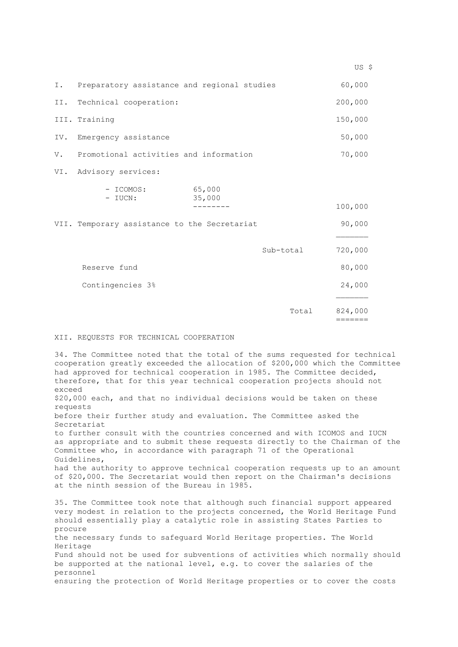|    |                                                |           | US \$              |
|----|------------------------------------------------|-----------|--------------------|
|    | I. Preparatory assistance and regional studies |           | 60,000             |
|    | II. Technical cooperation:                     |           | 200,000            |
|    | III. Training                                  |           | 150,000            |
|    | IV. Emergency assistance                       |           | 50,000             |
| V. | Promotional activities and information         |           | 70,000             |
|    | VI. Advisory services:                         |           |                    |
|    | 65,000<br>- ICOMOS:<br>35,000<br>- IUCN:       |           |                    |
|    |                                                |           | 100,000            |
|    | VII. Temporary assistance to the Secretariat   |           | 90,000             |
|    |                                                |           |                    |
|    |                                                | Sub-total | 720,000            |
|    | Reserve fund                                   |           | 80,000             |
|    | Contingencies 3%                               |           | 24,000             |
|    |                                                |           |                    |
|    |                                                | Total     | 824,000<br>======= |

## XII. REQUESTS FOR TECHNICAL COOPERATION

34. The Committee noted that the total of the sums requested for technical cooperation greatly exceeded the allocation of \$200,000 which the Committee had approved for technical cooperation in 1985. The Committee decided, therefore, that for this year technical cooperation projects should not exceed \$20,000 each, and that no individual decisions would be taken on these requests before their further study and evaluation. The Committee asked the Secretariat to further consult with the countries concerned and with ICOMOS and IUCN as appropriate and to submit these requests directly to the Chairman of the Committee who, in accordance with paragraph 71 of the Operational Guidelines, had the authority to approve technical cooperation requests up to an amount of \$20,000. The Secretariat would then report on the Chairman's decisions at the ninth session of the Bureau in 1985. 35. The Committee took note that although such financial support appeared very modest in relation to the projects concerned, the World Heritage Fund should essentially play a catalytic role in assisting States Parties to procure the necessary funds to safeguard World Heritage properties. The World Heritage

Fund should not be used for subventions of activities which normally should be supported at the national level, e.g. to cover the salaries of the personnel

ensuring the protection of World Heritage properties or to cover the costs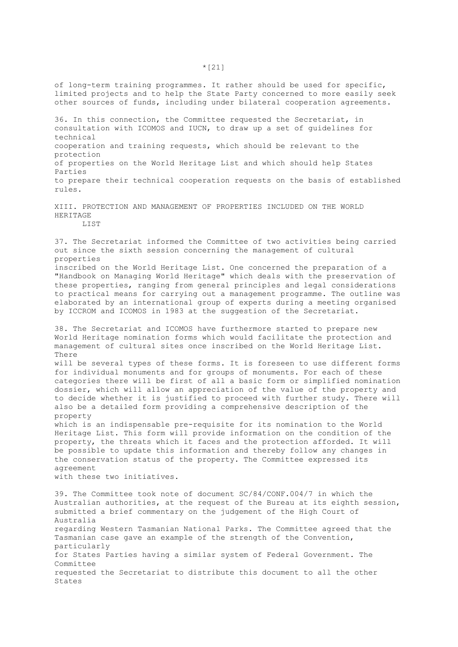of long-term training programmes. It rather should be used for specific, limited projects and to help the State Party concerned to more easily seek other sources of funds, including under bilateral cooperation agreements.

36. In this connection, the Committee requested the Secretariat, in consultation with ICOMOS and IUCN, to draw up a set of guidelines for technical cooperation and training requests, which should be relevant to the protection of properties on the World Heritage List and which should help States Parties to prepare their technical cooperation requests on the basis of established rules.

XIII. PROTECTION AND MANAGEMENT OF PROPERTIES INCLUDED ON THE WORLD HERITAGE LIST

37. The Secretariat informed the Committee of two activities being carried out since the sixth session concerning the management of cultural properties

inscribed on the World Heritage List. One concerned the preparation of a "Handbook on Managing World Heritage" which deals with the preservation of these properties, ranging from general principles and legal considerations to practical means for carrying out a management programme. The outline was elaborated by an international group of experts during a meeting organised by ICCROM and ICOMOS in 1983 at the suggestion of the Secretariat.

38. The Secretariat and ICOMOS have furthermore started to prepare new World Heritage nomination forms which would facilitate the protection and management of cultural sites once inscribed on the World Heritage List. There

will be several types of these forms. It is foreseen to use different forms for individual monuments and for groups of monuments. For each of these categories there will be first of all a basic form or simplified nomination dossier, which will allow an appreciation of the value of the property and to decide whether it is justified to proceed with further study. There will also be a detailed form providing a comprehensive description of the property

which is an indispensable pre-requisite for its nomination to the World Heritage List. This form will provide information on the condition of the property, the threats which it faces and the protection afforded. It will be possible to update this information and thereby follow any changes in the conservation status of the property. The Committee expressed its agreement

with these two initiatives.

39. The Committee took note of document SC/84/CONF.004/7 in which the Australian authorities, at the request of the Bureau at its eighth session, submitted a brief commentary on the judgement of the High Court of Australia regarding Western Tasmanian National Parks. The Committee agreed that the Tasmanian case gave an example of the strength of the Convention, particularly for States Parties having a similar system of Federal Government. The Committee requested the Secretariat to distribute this document to all the other States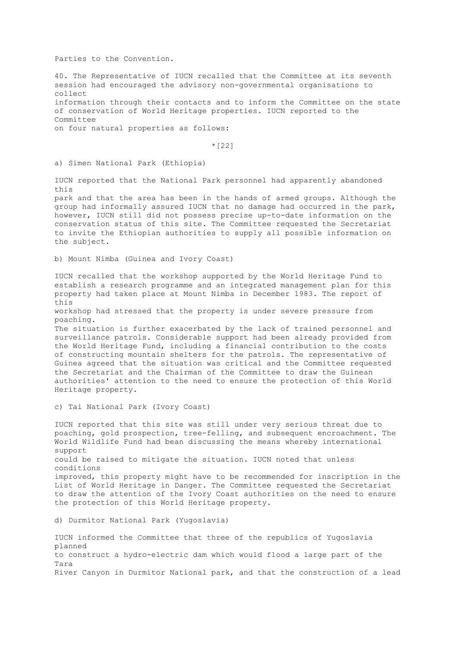Parties to the Convention.

40. The Representative of IUCN recalled that the Committee at its seventh session had encouraged the advisory non-governmental organisations to collect information through their contacts and to inform the Committee on the state of conservation of World Heritage properties. IUCN reported to the Committee on four natural properties as follows:

\*[22]

a) Simen National Park (Ethiopia)

IUCN reported that the National Park personnel had apparently abandoned this

park and that the area has been in the hands of armed groups. Although the group had informally assured IUCN that no damage had occurred in the park, however, IUCN still did not possess precise up-to-date information on the conservation status of this site. The Committee requested the Secretariat to invite the Ethiopian authorities to supply all possible information on the subject.

b) Mount Nimba (Guinea and Ivory Coast)

IUCN recalled that the workshop supported by the World Heritage Fund to establish a research programme and an integrated management plan for this property had taken place at Mount Nimba in December 1983. The report of this

workshop had stressed that the property is under severe pressure from poaching.

The situation is further exacerbated by the lack of trained personnel and surveillance patrols. Considerable support had been already provided from the World Heritage Fund, including a financial contribution to the costs of constructing mountain shelters for the patrols. The representative of Guinea agreed that the situation was critical and the Committee requested the Secretariat and the Chairman of the Committee to draw the Guinean authorities' attention to the need to ensure the protection of this World Heritage property.

c) Tai National Park (Ivory Coast)

IUCN reported that this site was still under very serious threat due to poaching, gold prospection, tree-felling, and subsequent encroachment. The World Wildlife Fund had bean discussing the means whereby international support could be raised to mitigate the situation. IUCN noted that unless conditions improved, this property might have to be recommended for inscription in the List of World Heritage in Danger. The Committee requested the Secretariat to draw the attention of the Ivory Coast authorities on the need to ensure the protection of this World Heritage property.

d) Durmitor National Park (Yugoslavia)

IUCN informed the Committee that three of the republics of Yugoslavia planned to construct a hydro-electric dam which would flood a large part of the Tara River Canyon in Durmitor National park, and that the construction of a lead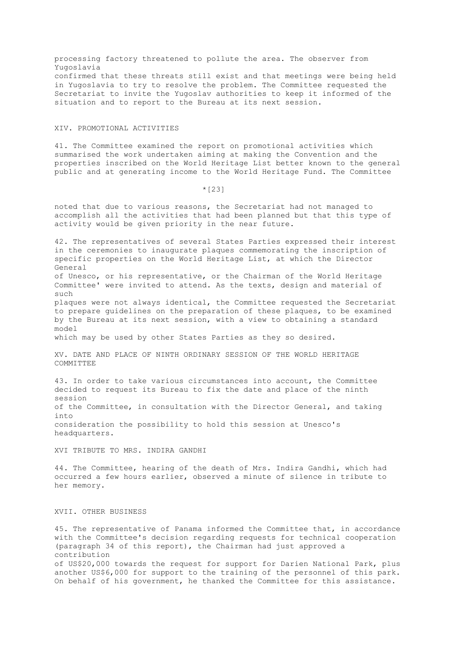processing factory threatened to pollute the area. The observer from Yugoslavia confirmed that these threats still exist and that meetings were being held in Yugoslavia to try to resolve the problem. The Committee requested the Secretariat to invite the Yugoslav authorities to keep it informed of the situation and to report to the Bureau at its next session.

#### XIV. PROMOTIONAL ACTIVITIES

41. The Committee examined the report on promotional activities which summarised the work undertaken aiming at making the Convention and the properties inscribed on the World Heritage List better known to the general public and at generating income to the World Heritage Fund. The Committee

\*[23]

noted that due to various reasons, the Secretariat had not managed to accomplish all the activities that had been planned but that this type of activity would be given priority in the near future.

42. The representatives of several States Parties expressed their interest in the ceremonies to inaugurate plaques commemorating the inscription of specific properties on the World Heritage List, at which the Director General of Unesco, or his representative, or the Chairman of the World Heritage Committee' were invited to attend. As the texts, design and material of such plaques were not always identical, the Committee requested the Secretariat to prepare guidelines on the preparation of these plaques, to be examined by the Bureau at its next session, with a view to obtaining a standard model which may be used by other States Parties as they so desired.

XV. DATE AND PLACE OF NINTH ORDINARY SESSION OF THE WORLD HERITAGE COMMITTEE

43. In order to take various circumstances into account, the Committee decided to request its Bureau to fix the date and place of the ninth session of the Committee, in consultation with the Director General, and taking into consideration the possibility to hold this session at Unesco's headquarters.

XVI TRIBUTE TO MRS. INDIRA GANDHI

44. The Committee, hearing of the death of Mrs. Indira Gandhi, which had occurred a few hours earlier, observed a minute of silence in tribute to her memory.

XVII. OTHER BUSINESS

45. The representative of Panama informed the Committee that, in accordance with the Committee's decision regarding requests for technical cooperation (paragraph 34 of this report), the Chairman had just approved a contribution of US\$20,000 towards the request for support for Darien National Park, plus another US\$6,000 for support to the training of the personnel of this park. On behalf of his government, he thanked the Committee for this assistance.